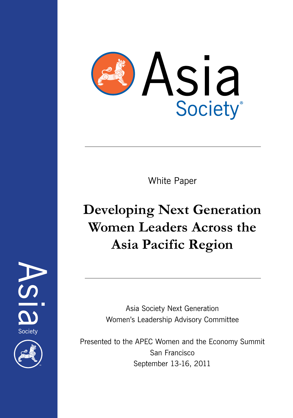

White Paper

# **Developing Next Generation Women Leaders Across the Asia Pacific Region**

Asia Society Next Generation Women's Leadership Advisory Committee

Presented to the APEC Women and the Economy Summit San Francisco September 13-16, 2011

Society

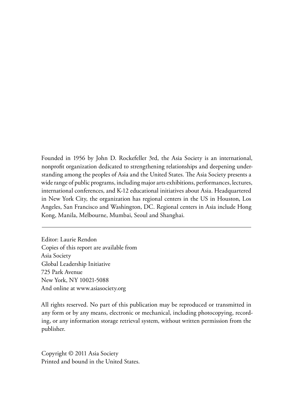Founded in 1956 by John D. Rockefeller 3rd, the Asia Society is an international, nonprofit organization dedicated to strengthening relationships and deepening understanding among the peoples of Asia and the United States. The Asia Society presents a wide range of public programs, including major arts exhibitions, performances, lectures, international conferences, and K-12 educational initiatives about Asia. Headquartered in New York City, the organization has regional centers in the US in Houston, Los Angeles, San Francisco and Washington, DC. Regional centers in Asia include Hong Kong, Manila, Melbourne, Mumbai, Seoul and Shanghai.

Editor: Laurie Rendon Copies of this report are available from Asia Society Global Leadership Initiative 725 Park Avenue New York, NY 10021-5088 And online at www.asiasociety.org

All rights reserved. No part of this publication may be reproduced or transmitted in any form or by any means, electronic or mechanical, including photocopying, recording, or any information storage retrieval system, without written permission from the publisher.

Copyright © 2011 Asia Society Printed and bound in the United States.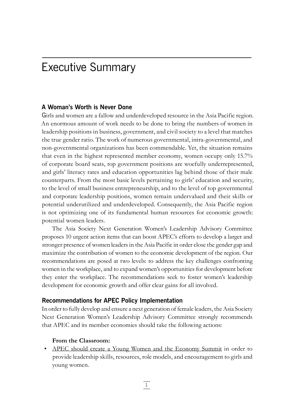# Executive Summary

#### **A Woman's Worth is Never Done**

Girls and women are a fallow and underdeveloped resource in the Asia Pacific region. An enormous amount of work needs to be done to bring the numbers of women in leadership positions in business, government, and civil society to a level that matches the true gender ratio. The work of numerous governmental, intra-governmental, and non-governmental organizations has been commendable. Yet, the situation remains that even in the highest represented member economy, women occupy only 15.7% of corporate board seats, top government positions are woefully underrepresented, and girls' literacy rates and education opportunities lag behind those of their male counterparts. From the most basic levels pertaining to girls' education and security, to the level of small business entrepreneurship, and to the level of top governmental and corporate leadership positions, women remain undervalued and their skills or potential underutilized and underdeveloped. Consequently, the Asia Pacific region is not optimizing one of its fundamental human resources for economic growth: potential women leaders.

The Asia Society Next Generation Women's Leadership Advisory Committee proposes 10 urgent action items that can boost APEC's efforts to develop a larger and stronger presence of women leaders in the Asia Pacific in order close the gender gap and maximize the contribution of women to the economic development of the region. Our recommendations are posed at two levels: to address the key challenges confronting women in the workplace, and to expand women's opportunities for development before they enter the workplace. The recommendations seek to foster women's leadership development for economic growth and offer clear gains for all involved.

#### **Recommendations for APEC Policy Implementation**

In order to fully develop and ensure a next generation of female leaders, the Asia Society Next Generation Women's Leadership Advisory Committee strongly recommends that APEC and its member economies should take the following actions:

#### **From the Classroom:**

• APEC should create a Young Women and the Economy Summit in order to provide leadership skills, resources, role models, and encouragement to girls and young women.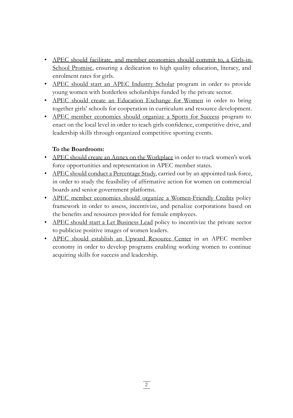- APEC should facilitate, and member economies should commit to, a Girls-in-School Promise, ensuring a dedication to high quality education, literacy, and enrolment rates for girls.
- APEC should start an APEC Industry Scholar program in order to provide young women with borderless scholarships funded by the private sector.
- APEC should create an Education Exchange for Women in order to bring together girls' schools for cooperation in curriculum and resource development.
- APEC member economies should organize a Sports for Success program to enact on the local level in order to teach girls confidence, competitive drive, and leadership skills through organized competitive sporting events.

#### **To the Boardroom:**

- APEC should create an Annex on the Workplace in order to track women's work force opportunities and representation in APEC member states.
- APEC should conduct a Percentage Study, carried out by an appointed task force, in order to study the feasibility of affirmative action for women on commercial boards and senior government platforms.
- APEC member economies should organize a Women-Friendly Credits policy framework in order to assess, incentivize, and penalize corporations based on the benefits and resources provided for female employees.
- APEC should start a Let Business Lead policy to incentivize the private sector to publicize positive images of women leaders.
- APEC should establish an Upward Resource Center in an APEC member economy in order to develop programs enabling working women to continue acquiring skills for success and leadership.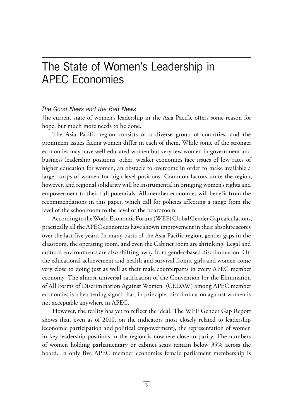# The State of Women's Leadership in APEC Economies

#### *The Good News and the Bad News*

The current state of women's leadership in the Asia Pacific offers some reason for hope, but much more needs to be done.

The Asia Pacific region consists of a diverse group of countries, and the prominent issues facing women differ in each of them. While some of the stronger economies may have well-educated women but very few women in government and business leadership positions, other, weaker economies face issues of low rates of higher education for women, an obstacle to overcome in order to make available a larger corps of women for high-level positions. Common factors unite the region, however, and regional solidarity will be instrumental in bringing women's rights and empowerment to their full potentials. All member economies will benefit from the recommendations in this paper, which call for policies affecting a range from the level of the schoolroom to the level of the boardroom.

According to the World Economic Forum (WEF) Global Gender Gap calculations, practically all the APEC economies have shown improvement in their absolute scores over the last five years. In many parts of the Asia Pacific region, gender gaps in the classroom, the operating room, and even the Cabinet room are shrinking. Legal and cultural environments are also shifting away from gender-based discrimination. On the educational achievement and health and survival fronts, girls and women come very close to doing just as well as their male counterparts in every APEC member economy. The almost universal ratification of the Convention for the Elimination of All Forms of Discrimination Against Women `(CEDAW) among APEC member economies is a heartening signal that, in principle, discrimination against women is not acceptable anywhere in APEC.

However, the reality has yet to reflect the ideal. The WEF Gender Gap Report shows that, even as of 2010, on the indicators most closely related to leadership (economic participation and political empowerment), the representation of women in key leadership positions in the region is nowhere close to parity. The numbers of women holding parliamentary or cabinet seats remain below 35% across the board. In only five APEC member economies female parliament membership is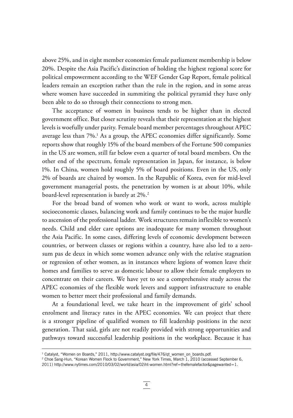above 25%, and in eight member economies female parliament membership is below 20%. Despite the Asia Pacific's distinction of holding the highest regional score for political empowerment according to the WEF Gender Gap Report, female political leaders remain an exception rather than the rule in the region, and in some areas where women have succeeded in summiting the political pyramid they have only been able to do so through their connections to strong men.

The acceptance of women in business tends to be higher than in elected government office. But closer scrutiny reveals that their representation at the highest levels is woefully under parity. Female board member percentages throughout APEC average less than 7%.1 As a group, the APEC economies differ significantly. Some reports show that roughly 15% of the board members of the Fortune 500 companies in the US are women, still far below even a quarter of total board members. On the other end of the spectrum, female representation in Japan, for instance, is below 1%. In China, women hold roughly 5% of board positions. Even in the US, only 2% of boards are chaired by women. In the Republic of Korea, even for mid-level government managerial posts, the penetration by women is at about 10%, while board-level representation is barely at 2%.<sup>2</sup>

For the broad band of women who work or want to work, across multiple socioeconomic classes, balancing work and family continues to be the major hurdle to ascension of the professional ladder. Work structures remain inflexible to women's needs. Child and elder care options are inadequate for many women throughout the Asia Pacific. In some cases, differing levels of economic development between countries, or between classes or regions within a country, have also led to a zerosum pas de deux in which some women advance only with the relative stagnation or regression of other women, as in instances where legions of women leave their homes and families to serve as domestic labour to allow their female employers to concentrate on their careers. We have yet to see a comprehensive study across the APEC economies of the flexible work levers and support infrastructure to enable women to better meet their professional and family demands.

At a foundational level, we take heart in the improvement of girls' school enrolment and literacy rates in the APEC economies. We can project that there is a stronger pipeline of qualified women to fill leadership positions in the next generation. That said, girls are not readily provided with strong opportunities and pathways toward successful leadership positions in the workplace. Because it has

<sup>1</sup> Catalyst, "Women on Boards," 2011, http://www.catalyst.org/file/476/qt\_women\_on\_boards.pdf.

<sup>2</sup> Choe Sang-Hun, "Korean Women Flock to Government," New York Times, March 1, 2010 (accessed September 6,

<sup>2011)</sup> http://www.nytimes.com/2010/03/02/world/asia/02iht-women.html?ref=thefemalefactor&pagewanted=1.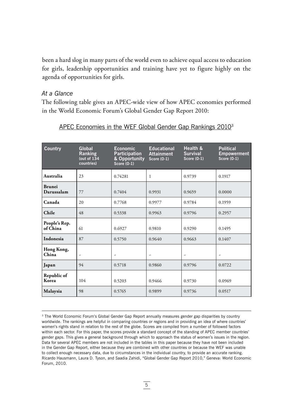been a hard slog in many parts of the world even to achieve equal access to education for girls, leadership opportunities and training have yet to figure highly on the agenda of opportunities for girls.

#### *At a Glance*

The following table gives an APEC-wide view of how APEC economies performed in the World Economic Forum's Global Gender Gap Report 2010:

| <b>Country</b>            | Global<br><b>Ranking</b><br>(out of 134<br>countries) | <b>Economic</b><br><b>Participation</b><br>& Opportunity<br><b>Score (0-1)</b> | <b>Educational</b><br><b>Attainment</b><br><b>Score (0-1)</b> | Health &<br><b>Survival</b><br>Score $(0-1)$ | <b>Political</b><br><b>Empowerment</b><br><b>Score (0-1)</b> |
|---------------------------|-------------------------------------------------------|--------------------------------------------------------------------------------|---------------------------------------------------------------|----------------------------------------------|--------------------------------------------------------------|
| Australia                 | 23                                                    | 0.74281                                                                        | 1                                                             | 0.9739                                       | 0.1917                                                       |
| Brunei<br>Darussalam      | 77                                                    | 0.7404                                                                         | 0.9931                                                        | 0.9659                                       | 0.0000                                                       |
| Canada                    | 20                                                    | 0.7768                                                                         | 0.9977                                                        | 0.9784                                       | 0.1959                                                       |
| Chile                     | 48                                                    | 0.5338                                                                         | 0.9963                                                        | 0.9796                                       | 0.2957                                                       |
| People's Rep.<br>of China | 61                                                    | 0.6927                                                                         | 0.9810                                                        | 0.9290                                       | 0.1495                                                       |
| Indonesia                 | 87                                                    | 0.5750                                                                         | 0.9640                                                        | 0.9663                                       | 0.1407                                                       |
| Hong Kong,<br>China       | $\overline{\phantom{a}}$                              | $\overline{\phantom{a}}$                                                       | $\overline{\phantom{a}}$                                      | $\overline{\phantom{a}}$                     | $\overline{\phantom{a}}$                                     |
| Japan                     | 94                                                    | 0.5718                                                                         | 0.9860                                                        | 0.9796                                       | 0.0722                                                       |
| Republic of<br>Korea      | 104                                                   | 0.5203                                                                         | 0.9466                                                        | 0.9730                                       | 0.0969                                                       |
| Malaysia                  | 98                                                    | 0.5765                                                                         | 0.9899                                                        | 0.9736                                       | 0.0517                                                       |

#### APEC Economies in the WEF Global Gender Gap Rankings 2010<sup>3</sup>

<sup>&</sup>lt;sup>3</sup> The World Economic Forum's Global Gender Gap Report annually measures gender gap disparities by country worldwide. The rankings are helpful in comparing countries or regions and in providing an idea of where countries' women's rights stand in relation to the rest of the globe. Scores are compiled from a number of followed factors within each sector. For this paper, the scores provide a standard concept of the standing of APEC member countries' gender gaps. This gives a general background through which to approach the status of women's issues in the region. Data for several APEC members are not included in the tables in this paper because they have not been included in the Gender Gap Report, either because they are combined with other countries or because the WEF was unable to collect enough necessary data, due to circumstances in the individual country, to provide an accurate ranking. Ricardo Hausmann, Laura D. Tyson, and Saadia Zahidi, "Global Gender Gap Report 2010," Geneva: World Economic Forum, 2010.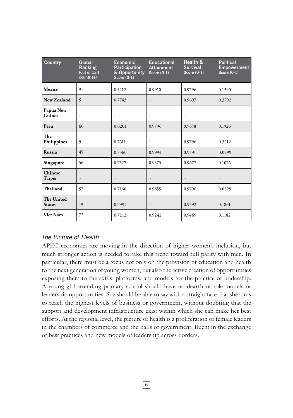| <b>Country</b>              | Global<br>Ranking<br>(out of $1\bar{3}4$<br>countries) | <b>Economic</b><br><b>Participation</b><br>& Opportunity<br>Score $(0-1)$ | <b>Educational</b><br><b>Attainment</b><br><b>Score (0-1)</b> | Health &<br><b>Survival</b><br><b>Score (0-1)</b> | <b>Political</b><br><b>Empowerment</b><br>Score $(0-1)$ |
|-----------------------------|--------------------------------------------------------|---------------------------------------------------------------------------|---------------------------------------------------------------|---------------------------------------------------|---------------------------------------------------------|
| Mexico                      | 91                                                     | 0.5212                                                                    | 0.9910                                                        | 0.9796                                            | 0.1390                                                  |
| New Zealand                 | 5                                                      | 0.7743                                                                    | 1                                                             | 0.9697                                            | 0.3792                                                  |
| Papua New<br>Guinea         | $\overline{a}$                                         | $\tilde{\phantom{a}}$                                                     | $\overline{a}$                                                | $\overline{\phantom{a}}$                          | $\overline{\phantom{a}}$                                |
| Peru                        | 60                                                     | 0.6201                                                                    | 0.9796                                                        | 0.9658                                            | 0.1926                                                  |
| The<br>Philippines          | 9                                                      | 0.7611                                                                    | 1                                                             | 0.9796                                            | 0.3212                                                  |
| Russia                      | 45                                                     | 0.7360                                                                    | 0.9994                                                        | 0.9791                                            | 0.0999                                                  |
| Singapore                   | 56                                                     | 0.7527                                                                    | 0.9375                                                        | 0.9677                                            | 0.1076                                                  |
| Chinese<br>Taipei           | $\overline{\phantom{a}}$                               | $\overline{\phantom{a}}$                                                  | $\overline{\phantom{a}}$                                      | $\overline{\phantom{a}}$                          | $\overline{\phantom{a}}$                                |
| Thailand                    | 57                                                     | 0.7160                                                                    | 0.9855                                                        | 0.9796                                            | 0.0829                                                  |
| The United<br><b>States</b> | 19                                                     | 0.7991                                                                    | 1                                                             | 0.9792                                            | 0.1861                                                  |
| <b>Viet Nam</b>             | 72                                                     | 0.7212                                                                    | 0.9242                                                        | 0.9469                                            | 0.1182                                                  |

#### *The Picture of Health*

APEC economies are moving in the direction of higher women's inclusion, but much stronger action is needed to take this trend toward full parity with men. In particular, there must be a focus not only on the provision of education and health to the next generation of young women, but also the active creation of opportunities exposing them to the skills, platforms, and models for the practice of leadership. A young girl attending primary school should have no dearth of role models or leadership opportunities. She should be able to say with a straight face that she aims to reach the highest levels of business or government, without doubting that the support and development infrastructure exist within which she can make her best efforts. At the regional level, the picture of health is a proliferation of female leaders in the chambers of commerce and the halls of government, fluent in the exchange of best practices and new models of leadership across borders.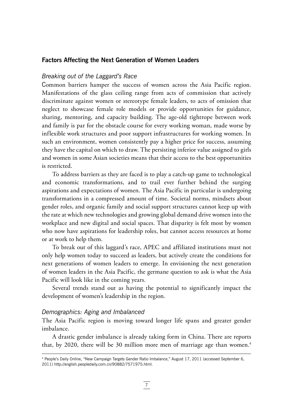#### **Factors Affecting the Next Generation of Women Leaders**

#### *Breaking out of the Laggard's Race*

Common barriers hamper the success of women across the Asia Pacific region. Manifestations of the glass ceiling range from acts of commission that actively discriminate against women or stereotype female leaders, to acts of omission that neglect to showcase female role models or provide opportunities for guidance, sharing, mentoring, and capacity building. The age-old tightrope between work and family is par for the obstacle course for every working woman, made worse by inflexible work structures and poor support infrastructures for working women. In such an environment, women consistently pay a higher price for success, assuming they have the capital on which to draw. The persisting inferior value assigned to girls and women in some Asian societies means that their access to the best opportunities is restricted.

To address barriers as they are faced is to play a catch-up game to technological and economic transformations, and to trail ever further behind the surging aspirations and expectations of women. The Asia Pacific in particular is undergoing transformations in a compressed amount of time. Societal norms, mindsets about gender roles, and organic family and social support structures cannot keep up with the rate at which new technologies and growing global demand drive women into the workplace and new digital and social spaces. That disparity is felt most by women who now have aspirations for leadership roles, but cannot access resources at home or at work to help them.

To break out of this laggard's race, APEC and affiliated institutions must not only help women today to succeed as leaders, but actively create the conditions for next generations of women leaders to emerge. In envisioning the next generation of women leaders in the Asia Pacific, the germane question to ask is what the Asia Pacific will look like in the coming years.

Several trends stand out as having the potential to significantly impact the development of women's leadership in the region.

#### *Demographics: Aging and Imbalanced*

The Asia Pacific region is moving toward longer life spans and greater gender imbalance.

A drastic gender imbalance is already taking form in China. There are reports that, by 2020, there will be 30 million more men of marriage age than women.<sup>4</sup>

<sup>4</sup> People's Daily Online, "New Campaign Targets Gender Ratio Imbalance," August 17, 2011 (accessed September 6, 2011) http://english.peopledaily.com.cn/90882/7571975.html.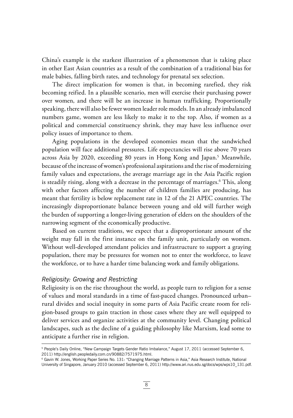China's example is the starkest illustration of a phenomenon that is taking place in other East Asian countries as a result of the combination of a traditional bias for male babies, falling birth rates, and technology for prenatal sex selection.

The direct implication for women is that, in becoming rarefied, they risk becoming reified. In a plausible scenario, men will exercise their purchasing power over women, and there will be an increase in human trafficking. Proportionally speaking, there will also be fewer women leader role models. In an already imbalanced numbers game, women are less likely to make it to the top. Also, if women as a political and commercial constituency shrink, they may have less influence over policy issues of importance to them.

Aging populations in the developed economies mean that the sandwiched population will face additional pressures. Life expectancies will rise above 70 years across Asia by 2020, exceeding 80 years in Hong Kong and Japan.<sup>5</sup> Meanwhile, because of the increase of women's professional aspirations and the rise of modernizing family values and expectations, the average marriage age in the Asia Pacific region is steadily rising, along with a decrease in the percentage of marriages.<sup>6</sup> This, along with other factors affecting the number of children families are producing, has meant that fertility is below replacement rate in 12 of the 21 APEC countries. The increasingly disproportionate balance between young and old will further weigh the burden of supporting a longer-living generation of elders on the shoulders of the narrowing segment of the economically productive.

Based on current traditions, we expect that a disproportionate amount of the weight may fall in the first instance on the family unit, particularly on women. Without well-developed attendant policies and infrastructure to support a graying population, there may be pressures for women not to enter the workforce, to leave the workforce, or to have a harder time balancing work and family obligations.

#### *Religiosity: Growing and Restricting*

Religiosity is on the rise throughout the world, as people turn to religion for a sense of values and moral standards in a time of fast-paced changes. Pronounced urban– rural divides and social inequity in some parts of Asia Pacific create room for religion-based groups to gain traction in those cases where they are well equipped to deliver services and organize activities at the community level. Changing political landscapes, such as the decline of a guiding philosophy like Marxism, lead some to anticipate a further rise in religion.

6 Gavin W. Jones, Working Paper Series No. 131: "Changing Marriage Patterns in Asia," Asia Research Institute, National University of Singapore, January 2010 (accessed September 6, 2011) http://www.ari.nus.edu.sg/docs/wps/wps10\_131.pdf.

<sup>5</sup> People's Daily Online, "New Campaign Targets Gender Ratio Imbalance," August 17, 2011 (accessed September 6, 2011) http://english.peopledaily.com.cn/90882/7571975.html.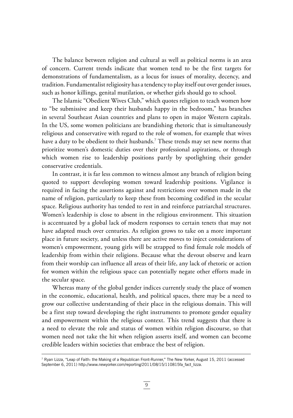The balance between religion and cultural as well as political norms is an area of concern. Current trends indicate that women tend to be the first targets for demonstrations of fundamentalism, as a locus for issues of morality, decency, and tradition. Fundamentalist religiosity has a tendency to play itself out over gender issues, such as honor killings, genital mutilation, or whether girls should go to school.

The Islamic "Obedient Wives Club," which quotes religion to teach women how to "be submissive and keep their husbands happy in the bedroom," has branches in several Southeast Asian countries and plans to open in major Western capitals. In the US, some women politicians are brandishing rhetoric that is simultaneously religious and conservative with regard to the role of women, for example that wives have a duty to be obedient to their husbands.7 These trends may set new norms that prioritize women's domestic duties over their professional aspirations, or through which women rise to leadership positions partly by spotlighting their gender conservative credentials.

In contrast, it is far less common to witness almost any branch of religion being quoted to support developing women toward leadership positions. Vigilance is required in facing the assertions against and restrictions over women made in the name of religion, particularly to keep these from becoming codified in the secular space. Religious authority has tended to rest in and reinforce patriarchal structures. Women's leadership is close to absent in the religious environment. This situation is accentuated by a global lack of modern responses to certain tenets that may not have adapted much over centuries. As religion grows to take on a more important place in future society, and unless there are active moves to inject considerations of women's empowerment, young girls will be strapped to find female role models of leadership from within their religions. Because what the devout observe and learn from their worship can influence all areas of their life, any lack of rhetoric or action for women within the religious space can potentially negate other efforts made in the secular space.

Whereas many of the global gender indices currently study the place of women in the economic, educational, health, and political spaces, there may be a need to grow our collective understanding of their place in the religious domain. This will be a first step toward developing the right instruments to promote gender equality and empowerment within the religious context. This trend suggests that there is a need to elevate the role and status of women within religion discourse, so that women need not take the hit when religion asserts itself, and women can become credible leaders within societies that embrace the best of religion.

<sup>7</sup> Ryan Lizza, "Leap of Faith: the Making of a Republican Front-Runner," The New Yorker, August 15, 2011 (accessed September 6, 2011) http://www.newyorker.com/reporting/2011/08/15/110815fa\_fact\_lizza.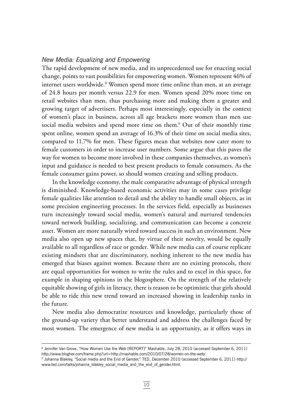#### *New Media: Equalizing and Empowering*

The rapid development of new media, and its unprecedented use for enacting social change, points to vast possibilities for empowering women. Women represent 46% of internet users worldwide.<sup>8</sup> Women spend more time online than men, at an average of 24.8 hours per month versus 22.9 for men. Women spend 20% more time on retail websites than men, thus purchasing more and making them a greater and growing target of advertisers. Perhaps most interestingly, especially in the context of women's place in business, across all age brackets more women than men use social media websites and spend more time on them.<sup>9</sup> Out of their monthly time spent online, women spend an average of 16.3% of their time on social media sites, compared to 11.7% for men. These figures mean that websites now cater more to female customers in order to increase user numbers. Some argue that this paves the way for women to become more involved in these companies themselves, as women's input and guidance is needed to best present products to female consumers. As the female consumer gains power, so should women creating and selling products.

In the knowledge economy, the male comparative advantage of physical strength is diminished. Knowledge-based economic activities may in some cases privilege female qualities like attention to detail and the ability to handle small objects, as in some precision engineering processes. In the services field, especially as businesses turn increasingly toward social media, women's natural and nurtured tendencies toward network building, socializing, and communication can become a concrete asset. Women are more naturally wired toward success in such an environment. New media also open up new spaces that, by virtue of their novelty, would be equally available to all regardless of race or gender. While new media can of course replicate existing mindsets that are discriminatory, nothing inherent to the new media has emerged that biases against women. Because there are no existing protocols, there are equal opportunities for women to write the rules and to excel in this space, for example in shaping opinions in the blogosphere. On the strength of the relatively equitable showing of girls in literacy, there is reason to be optimistic that girls should be able to ride this new trend toward an increased showing in leadership ranks in the future.

New media also democratize resources and knowledge, particularly those of the ground-up variety that better understand and address the challenges faced by most women. The emergence of new media is an opportunity, as it offers ways in

<sup>8</sup> Jennifer Van Grove, "How Women Use the Web [REPORT]" Mashable, July 28, 2010 (accessed September 6, 2011) http://www.blogher.com/frame.php?url=http://mashable.com/2010/07/28/women-on-the-web/.

<sup>9</sup> Johanna Blakley, "Social media and the End of Gender," TED, December 2010 (accessed September 6, 2011) http:// www.ted.com/talks/johanna\_blakley\_social\_media\_and\_the\_end\_of\_gender.html.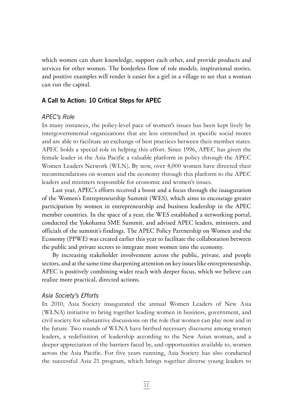which women can share knowledge, support each other, and provide products and services for other women. The borderless flow of role models, inspirational stories, and positive examples will render it easier for a girl in a village to see that a woman can run the capital.

#### **A Call to Action: 10 Critical Steps for APEC**

#### *APEC's Role*

In many instances, the policy-level pace of women's issues has been kept lively by intergovernmental organizations that are less entrenched in specific social mores and are able to facilitate an exchange of best practices between their member states. APEC holds a special role in helping this effort. Since 1996, APEC has given the female leader in the Asia Pacific a valuable platform in policy through the APEC Women Leaders Network (WLN). By now, over 4,000 women have directed their recommendations on women and the economy through this platform to the APEC leaders and ministers responsible for economic and women's issues.

Last year, APEC's efforts received a boost and a focus through the inauguration of the Women's Entrepreneurship Summit (WES), which aims to encourage greater participation by women in entrepreneurship and business leadership in the APEC member countries. In the space of a year, the WES established a networking portal, conducted the Yokohama SME Summit, and advised APEC leaders, ministers, and officials of the summit's findings. The APEC Policy Partnership on Women and the Economy (PPWE) was created earlier this year to facilitate the collaboration between the public and private sectors to integrate more women into the economy.

By increasing stakeholder involvement across the public, private, and people sectors, and at the same time sharpening attention on key issues like entrepreneurship, APEC is positively combining wider reach with deeper focus, which we believe can realize more practical, directed actions.

#### *Asia Society's Efforts*

In 2010, Asia Society inaugurated the annual Women Leaders of New Asia (WLNA) initiative to bring together leading women in business, government, and civil society for substantive discussions on the role that women can play now and in the future. Two rounds of WLNA have birthed necessary discourse among women leaders, a redefinition of leadership according to the New Asian woman, and a deeper appreciation of the barriers faced by, and opportunities available to, women across the Asia Pacific. For five years running, Asia Society has also conducted the successful Asia 21 program, which brings together diverse young leaders to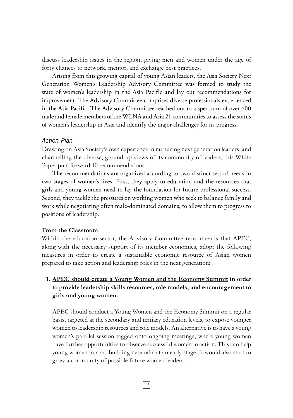discuss leadership issues in the region, giving men and women under the age of forty chances to network, mentor, and exchange best practices.

Arising from this growing capital of young Asian leaders, the Asia Society Next Generation Women's Leadership Advisory Committee was formed to study the state of women's leadership in the Asia Pacific and lay out recommendations for improvement. The Advisory Committee comprises diverse professionals experienced in the Asia Pacific. The Advisory Committee reached out to a spectrum of over 600 male and female members of the WLNA and Asia 21 communities to assess the status of women's leadership in Asia and identify the major challenges for its progress.

#### *Action Plan*

Drawing on Asia Society's own experience in nurturing next generation leaders, and channelling the diverse, ground-up views of its community of leaders, this White Paper puts forward 10 recommendations.

The recommendations are organized according to two distinct sets of needs in two stages of women's lives. First, they apply to education and the resources that girls and young women need to lay the foundation for future professional success. Second, they tackle the pressures on working women who seek to balance family and work while negotiating often male-dominated domains, to allow them to progress to positions of leadership.

#### **From the Classroom**

Within the education sector, the Advisory Committee recommends that APEC, along with the necessary support of its member economies, adopt the following measures in order to create a sustainable economic resource of Asian women prepared to take action and leadership roles in the next generation:

#### **1. APEC should create a Young Women and the Economy Summit in order to provide leadership skills resources, role models, and encouragement to girls and young women.**

APEC should conduct a Young Women and the Economy Summit on a regular basis, targeted at the secondary and tertiary education levels, to expose younger women to leadership resources and role models. An alternative is to have a young women's parallel session tagged onto ongoing meetings, where young women have further opportunities to observe successful women in action. This can help young women to start building networks at an early stage. It would also start to grow a community of possible future women leaders.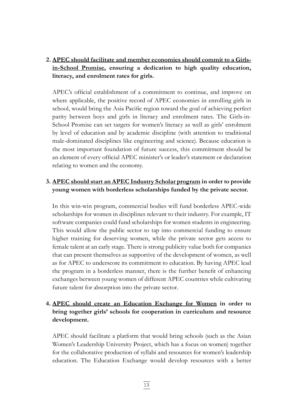#### **2. APEC should facilitate and member economies should commit to a Girlsin-School Promise, ensuring a dedication to high quality education, literacy, and enrolment rates for girls.**

 APEC's official establishment of a commitment to continue, and improve on where applicable, the positive record of APEC economies in enrolling girls in school, would bring the Asia Pacific region toward the goal of achieving perfect parity between boys and girls in literacy and enrolment rates. The Girls-in-School Promise can set targets for women's literacy as well as girls' enrolment by level of education and by academic discipline (with attention to traditional male-dominated disciplines like engineering and science). Because education is the most important foundation of future success, this commitment should be an element of every official APEC minister's or leader's statement or declaration relating to women and the economy.

#### **3. APEC should start an APEC Industry Scholar program in order to provide young women with borderless scholarships funded by the private sector.**

In this win-win program, commercial bodies will fund borderless APEC-wide scholarships for women in disciplines relevant to their industry. For example, IT software companies could fund scholarships for women students in engineering. This would allow the public sector to tap into commercial funding to ensure higher training for deserving women, while the private sector gets access to female talent at an early stage. There is strong publicity value both for companies that can present themselves as supportive of the development of women, as well as for APEC to underscore its commitment to education. By having APEC lead the program in a borderless manner, there is the further benefit of enhancing exchanges between young women of different APEC countries while cultivating future talent for absorption into the private sector.

#### **4. APEC should create an Education Exchange for Women in order to bring together girls' schools for cooperation in curriculum and resource development.**

APEC should facilitate a platform that would bring schools (such as the Asian Women's Leadership University Project, which has a focus on women) together for the collaborative production of syllabi and resources for women's leadership education. The Education Exchange would develop resources with a better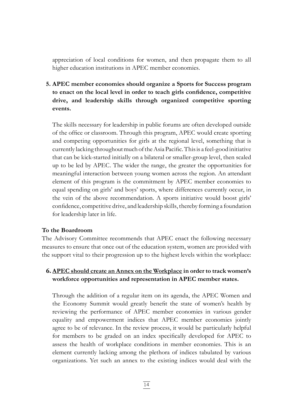appreciation of local conditions for women, and then propagate them to all higher education institutions in APEC member economies.

**5. APEC member economies should organize a Sports for Success program to enact on the local level in order to teach girls confidence, competitive drive, and leadership skills through organized competitive sporting events.**

The skills necessary for leadership in public forums are often developed outside of the office or classroom. Through this program, APEC would create sporting and competing opportunities for girls at the regional level, something that is currently lacking throughoutmuch oftheAsia Pacific.Thisis a feel-good initiative that can be kick-started initially on a bilateral or smaller-group level, then scaled up to be led by APEC. The wider the range, the greater the opportunities for meaningful interaction between young women across the region. An attendant element of this program is the commitment by APEC member economies to equal spending on girls' and boys' sports, where differences currently occur, in the vein of the above recommendation. A sports initiative would boost girls' confidence, competitive drive, and leadership skills, thereby forming a foundation for leadership later in life.

#### **To the Boardroom**

The Advisory Committee recommends that APEC enact the following necessary measures to ensure that once out of the education system, women are provided with the support vital to their progression up to the highest levels within the workplace:

#### **6. APEC should create an Annex on the Workplace in order to track women's workforce opportunities and representation in APEC member states.**

Through the addition of a regular item on its agenda, the APEC Women and the Economy Summit would greatly benefit the state of women's health by reviewing the performance of APEC member economies in various gender equality and empowerment indices that APEC member economies jointly agree to be of relevance. In the review process, it would be particularly helpful for members to be graded on an index specifically developed for APEC to assess the health of workplace conditions in member economies. This is an element currently lacking among the plethora of indices tabulated by various organizations. Yet such an annex to the existing indices would deal with the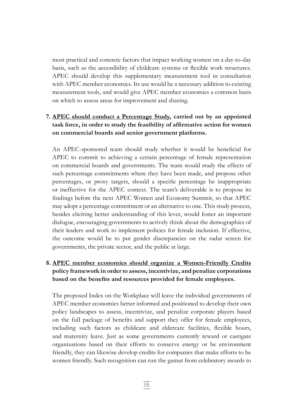most practical and concrete factors that impact working women on a day-to-day basis, such as the accessibility of childcare systems or flexible work structures. APEC should develop this supplementary measurement tool in consultation with APEC member economies. Its use would be a necessary addition to existing measurement tools, and would give APEC member economies a common basis on which to assess areas for improvement and sharing.

#### **7. APEC should conduct a Percentage Study, carried out by an appointed task force, in order to study the feasibility of affirmative action for women on commercial boards and senior government platforms.**

 An APEC-sponsored team should study whether it would be beneficial for APEC to commit to achieving a certain percentage of female representation on commercial boards and governments. The team would study the effects of such percentage commitments where they have been made, and propose other percentages, or proxy targets, should a specific percentage be inappropriate or ineffective for the APEC context. The team's deliverable is to propose its findings before the next APEC Women and Economy Summit, so that APEC may adopt a percentage commitment or an alternative to one. This study process, besides eliciting better understanding of this lever, would foster an important dialogue, encouraging governments to actively think about the demographics of their leaders and work to implement policies for female inclusion. If effective, the outcome would be to put gender discrepancies on the radar screen for governments, the private sector, and the public at large.

## **8. APEC member economies should organize a Women-Friendly Credits policy framework in order to assess, incentivize, and penalize corporations based on the benefits and resources provided for female employees.**

The proposed Index on the Workplace will leave the individual governments of APEC member economies better informed and positioned to develop their own policy landscapes to assess, incentivize, and penalize corporate players based on the full package of benefits and support they offer for female employees, including such factors as childcare and eldercare facilities, flexible hours, and maternity leave. Just as some governments currently reward or castigate organizations based on their efforts to conserve energy or be environment friendly, they can likewise develop credits for companies that make efforts to be women friendly. Such recognition can run the gamut from celebratory awards to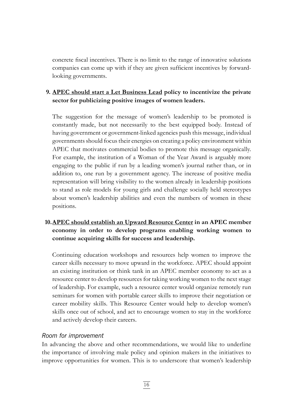concrete fiscal incentives. There is no limit to the range of innovative solutions companies can come up with if they are given sufficient incentives by forwardlooking governments.

#### **9. APEC should start a Let Business Lead policy to incentivize the private sector for publicizing positive images of women leaders.**

The suggestion for the message of women's leadership to be promoted is constantly made, but not necessarily to the best equipped body. Instead of having government or government-linked agencies push this message, individual governments should focus their energies on creating a policy environment within APEC that motivates commercial bodies to promote this message organically. For example, the institution of a Woman of the Year Award is arguably more engaging to the public if run by a leading women's journal rather than, or in addition to, one run by a government agency. The increase of positive media representation will bring visibility to the women already in leadership positions to stand as role models for young girls and challenge socially held stereotypes about women's leadership abilities and even the numbers of women in these positions.

#### **10.APEC should establish an Upward Resource Center in an APEC member economy in order to develop programs enabling working women to continue acquiring skills for success and leadership.**

Continuing education workshops and resources help women to improve the career skills necessary to move upward in the workforce. APEC should appoint an existing institution or think tank in an APEC member economy to act as a resource center to develop resources for taking working women to the next stage of leadership. For example, such a resource center would organize remotely run seminars for women with portable career skills to improve their negotiation or career mobility skills. This Resource Center would help to develop women's skills once out of school, and act to encourage women to stay in the workforce and actively develop their careers.

#### *Room for improvement*

In advancing the above and other recommendations, we would like to underline the importance of involving male policy and opinion makers in the initiatives to improve opportunities for women. This is to underscore that women's leadership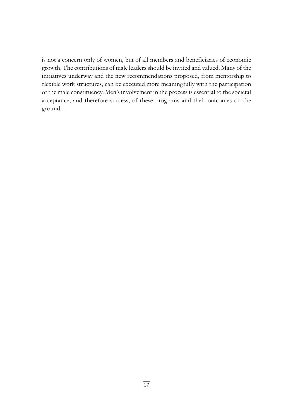is not a concern only of women, but of all members and beneficiaries of economic growth. The contributions of male leaders should be invited and valued. Many of the initiatives underway and the new recommendations proposed, from mentorship to flexible work structures, can be executed more meaningfully with the participation of the male constituency. Men's involvement in the process is essential to the societal acceptance, and therefore success, of these programs and their outcomes on the ground.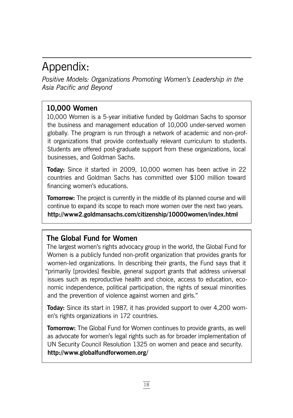# Appendix:

*Positive Models: Organizations Promoting Women's Leadership in the Asia Pacific and Beyond*

## **10,000 Women**

10,000 Women is a 5-year initiative funded by Goldman Sachs to sponsor the business and management education of 10,000 under-served women globally. The program is run through a network of academic and non-profit organizations that provide contextually relevant curriculum to students. Students are offered post-graduate support from these organizations, local businesses, and Goldman Sachs.

**Today:** Since it started in 2009, 10,000 women has been active in 22 countries and Goldman Sachs has committed over \$100 million toward financing women's educations.

**Tomorrow:** The project is currently in the middle of its planned course and will continue to expand its scope to reach more women over the next two years. **http://www2.goldmansachs.com/citizenship/10000women/index.html**

## **The Global Fund for Women**

The largest women's rights advocacy group in the world, the Global Fund for Women is a publicly funded non-profit organization that provides grants for women-led organizations. In describing their grants, the Fund says that it "primarily [provides] flexible, general support grants that address universal issues such as reproductive health and choice, access to education, economic independence, political participation, the rights of sexual minorities and the prevention of violence against women and girls."

**Today:** Since its start in 1987, it has provided support to over 4,200 women's rights organizations in 172 countries.

**Tomorrow:** The Global Fund for Women continues to provide grants, as well as advocate for women's legal rights such as for broader implementation of UN Security Council Resolution 1325 on women and peace and security. **http://www.globalfundforwomen.org/**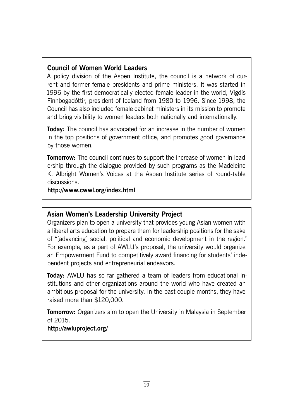## **Council of Women World Leaders**

A policy division of the Aspen Institute, the council is a network of current and former female presidents and prime ministers. It was started in 1996 by the first democratically elected female leader in the world, Vigdís Finnbogadóttir, president of Iceland from 1980 to 1996. Since 1998, the Council has also included female cabinet ministers in its mission to promote and bring visibility to women leaders both nationally and internationally.

**Today:** The council has advocated for an increase in the number of women in the top positions of government office, and promotes good governance by those women.

**Tomorrow:** The council continues to support the increase of women in leadership through the dialogue provided by such programs as the Madeleine K. Albright Women's Voices at the Aspen Institute series of round-table discussions.

**http://www.cwwl.org/index.html**

## **Asian Women's Leadership University Project**

Organizers plan to open a university that provides young Asian women with a liberal arts education to prepare them for leadership positions for the sake of "[advancing] social, political and economic development in the region." For example, as a part of AWLU's proposal, the university would organize an Empowerment Fund to competitively award financing for students' independent projects and entrepreneurial endeavors.

**Today:** AWLU has so far gathered a team of leaders from educational institutions and other organizations around the world who have created an ambitious proposal for the university. In the past couple months, they have raised more than \$120,000.

**Tomorrow:** Organizers aim to open the University in Malaysia in September of 2015.

## **http://awluproject.org/**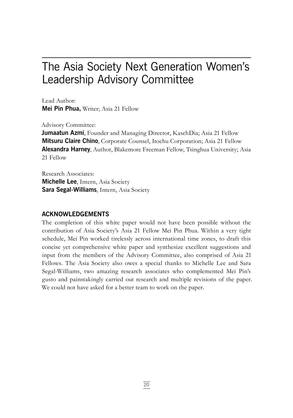# The Asia Society Next Generation Women's Leadership Advisory Committee

Lead Author: **Mei Pin Phua,** Writer; Asia 21 Fellow

Advisory Committee:

**Jumaatun Azmi**, Founder and Managing Director, KasehDia; Asia 21 Fellow **Mitsuru Claire Chino**, Corporate Counsel, Itochu Corporation; Asia 21 Fellow **Alexandra Harney**, Author, Blakemore Freeman Fellow, Tsinghua University; Asia 21 Fellow

Research Associates: **Michelle Lee**, Intern, Asia Society **Sara Segal-Williams**, Intern, Asia Society

#### **ACKNOWLEDGEMENTS**

The completion of this white paper would not have been possible without the contribution of Asia Society's Asia 21 Fellow Mei Pin Phua. Within a very tight schedule, Mei Pin worked tirelessly across international time zones, to draft this concise yet comprehensive white paper and synthesize excellent suggestions and input from the members of the Advisory Committee, also comprised of Asia 21 Fellows. The Asia Society also owes a special thanks to Michelle Lee and Sara Segal-Williams, two amazing research associates who complemented Mei Pin's gusto and painstakingly carried out research and multiple revisions of the paper. We could not have asked for a better team to work on the paper.